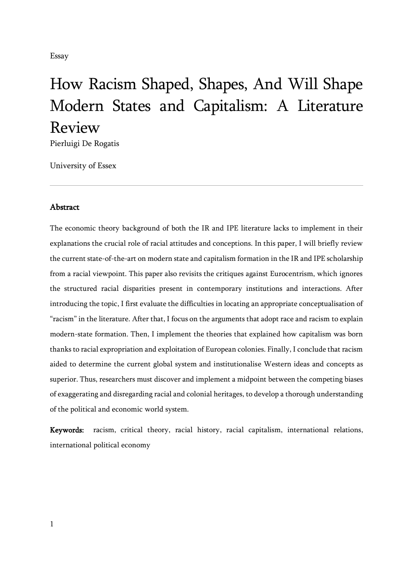Essay

# How Racism Shaped, Shapes, And Will Shape Modern States and Capitalism: A Literature Review

Pierluigi De Rogatis

University of Essex

## Abstract

The economic theory background of both the IR and IPE literature lacks to implement in their explanations the crucial role of racial attitudes and conceptions. In this paper, I will briefly review the current state-of-the-art on modern state and capitalism formation in the IR and IPE scholarship from a racial viewpoint. This paper also revisits the critiques against Eurocentrism, which ignores the structured racial disparities present in contemporary institutions and interactions. After introducing the topic, I first evaluate the difficulties in locating an appropriate conceptualisation of "racism" in the literature. After that, I focus on the arguments that adopt race and racism to explain modern-state formation. Then, I implement the theories that explained how capitalism was born thanks to racial expropriation and exploitation of European colonies. Finally, I conclude that racism aided to determine the current global system and institutionalise Western ideas and concepts as superior. Thus, researchers must discover and implement a midpoint between the competing biases of exaggerating and disregarding racial and colonial heritages, to develop a thorough understanding of the political and economic world system.

Keywords: racism, critical theory, racial history, racial capitalism, international relations, international political economy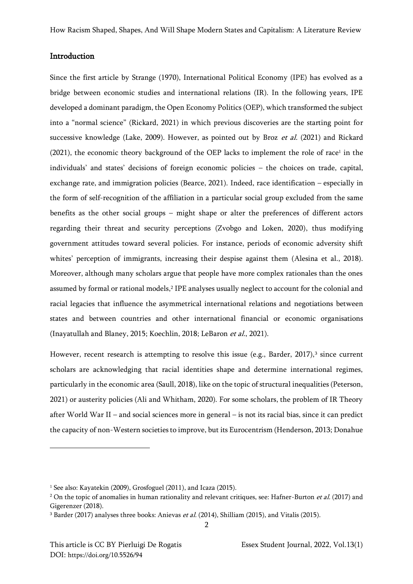## Introduction

Since the first article by Strange (1970), International Political Economy (IPE) has evolved as a bridge between economic studies and international relations (IR). In the following years, IPE developed a dominant paradigm, the Open Economy Politics (OEP), which transformed the subject into a "normal science" (Rickard, 2021) in which previous discoveries are the starting point for successive knowledge (Lake, 2009). However, as pointed out by Broz et al. (2021) and Rickard  $(2021)$ , the economic theory background of the OEP lacks to implement the role of race<sup>1</sup> in the individuals' and states' decisions of foreign economic policies – the choices on trade, capital, exchange rate, and immigration policies (Bearce, 2021). Indeed, race identification – especially in the form of self-recognition of the affiliation in a particular social group excluded from the same benefits as the other social groups – might shape or alter the preferences of different actors regarding their threat and security perceptions (Zvobgo and Loken, 2020), thus modifying government attitudes toward several policies. For instance, periods of economic adversity shift whites' perception of immigrants, increasing their despise against them (Alesina et al., 2018). Moreover, although many scholars argue that people have more complex rationales than the ones assumed by formal or rational models,<sup>2</sup> IPE analyses usually neglect to account for the colonial and racial legacies that influence the asymmetrical international relations and negotiations between states and between countries and other international financial or economic organisations (Inayatullah and Blaney, 2015; Koechlin, 2018; LeBaron et al., 2021).

However, recent research is attempting to resolve this issue (e.g., Barder, 2017),<sup>3</sup> since current scholars are acknowledging that racial identities shape and determine international regimes, particularly in the economic area (Saull, 2018), like on the topic of structural inequalities (Peterson, 2021) or austerity policies (Ali and Whitham, 2020). For some scholars, the problem of IR Theory after World War II – and social sciences more in general – is not its racial bias, since it can predict the capacity of non-Western societies to improve, but its Eurocentrism (Henderson, 2013; Donahue

<sup>1</sup> See also: Kayatekin (2009), Grosfoguel (2011), and Icaza (2015).

 $2$  On the topic of anomalies in human rationality and relevant critiques, see: Hafner-Burton *et al.* (2017) and Gigerenzer (2018).

<sup>&</sup>lt;sup>3</sup> Barder (2017) analyses three books: Anievas et al. (2014), Shilliam (2015), and Vitalis (2015).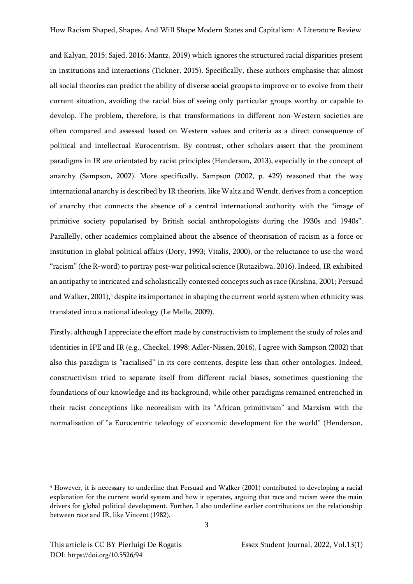and Kalyan, 2015; Sajed, 2016; Mantz, 2019) which ignores the structured racial disparities present in institutions and interactions (Tickner, 2015). Specifically, these authors emphasise that almost all social theories can predict the ability of diverse social groups to improve or to evolve from their current situation, avoiding the racial bias of seeing only particular groups worthy or capable to develop. The problem, therefore, is that transformations in different non-Western societies are often compared and assessed based on Western values and criteria as a direct consequence of political and intellectual Eurocentrism. By contrast, other scholars assert that the prominent paradigms in IR are orientated by racist principles (Henderson, 2013), especially in the concept of anarchy (Sampson, 2002). More specifically, Sampson (2002, p. 429) reasoned that the way international anarchy is described by IR theorists, like Waltz and Wendt, derives from a conception of anarchy that connects the absence of a central international authority with the "image of primitive society popularised by British social anthropologists during the 1930s and 1940s". Parallelly, other academics complained about the absence of theorisation of racism as a force or institution in global political affairs (Doty, 1993; Vitalis, 2000), or the reluctance to use the word "racism" (the R-word) to portray post-war political science (Rutazibwa, 2016). Indeed, IR exhibited an antipathy to intricated and scholastically contested concepts such as race (Krishna, 2001; Persuad and Walker, 2001),<sup>4</sup> despite its importance in shaping the current world system when ethnicity was translated into a national ideology (Le Melle, 2009).

Firstly, although I appreciate the effort made by constructivism to implement the study of roles and identities in IPE and IR (e.g., Checkel, 1998; Adler-Nissen, 2016), I agree with Sampson (2002) that also this paradigm is "racialised" in its core contents, despite less than other ontologies. Indeed, constructivism tried to separate itself from different racial biases, sometimes questioning the foundations of our knowledge and its background, while other paradigms remained entrenched in their racist conceptions like neorealism with its "African primitivism" and Marxism with the normalisation of "a Eurocentric teleology of economic development for the world" (Henderson,

<sup>4</sup> However, it is necessary to underline that Persuad and Walker (2001) contributed to developing a racial explanation for the current world system and how it operates, arguing that race and racism were the main drivers for global political development. Further, I also underline earlier contributions on the relationship between race and IR, like Vincent (1982).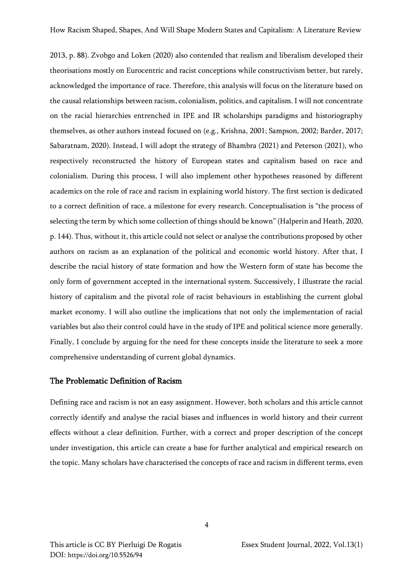2013, p. 88). Zvobgo and Loken (2020) also contended that realism and liberalism developed their theorisations mostly on Eurocentric and racist conceptions while constructivism better, but rarely, acknowledged the importance of race. Therefore, this analysis will focus on the literature based on the causal relationships between racism, colonialism, politics, and capitalism. I will not concentrate on the racial hierarchies entrenched in IPE and IR scholarships paradigms and historiography themselves, as other authors instead focused on (e.g., Krishna, 2001; Sampson, 2002; Barder, 2017; Sabaratnam, 2020). Instead, I will adopt the strategy of Bhambra (2021) and Peterson (2021), who respectively reconstructed the history of European states and capitalism based on race and colonialism. During this process, I will also implement other hypotheses reasoned by different academics on the role of race and racism in explaining world history. The first section is dedicated to a correct definition of race, a milestone for every research. Conceptualisation is "the process of selecting the term by which some collection of things should be known" (Halperin and Heath, 2020, p. 144). Thus, without it, this article could not select or analyse the contributions proposed by other authors on racism as an explanation of the political and economic world history. After that, I describe the racial history of state formation and how the Western form of state has become the only form of government accepted in the international system. Successively, I illustrate the racial history of capitalism and the pivotal role of racist behaviours in establishing the current global market economy. I will also outline the implications that not only the implementation of racial variables but also their control could have in the study of IPE and political science more generally. Finally, I conclude by arguing for the need for these concepts inside the literature to seek a more comprehensive understanding of current global dynamics.

### The Problematic Definition of Racism

Defining race and racism is not an easy assignment. However, both scholars and this article cannot correctly identify and analyse the racial biases and influences in world history and their current effects without a clear definition. Further, with a correct and proper description of the concept under investigation, this article can create a base for further analytical and empirical research on the topic. Many scholars have characterised the concepts of race and racism in different terms, even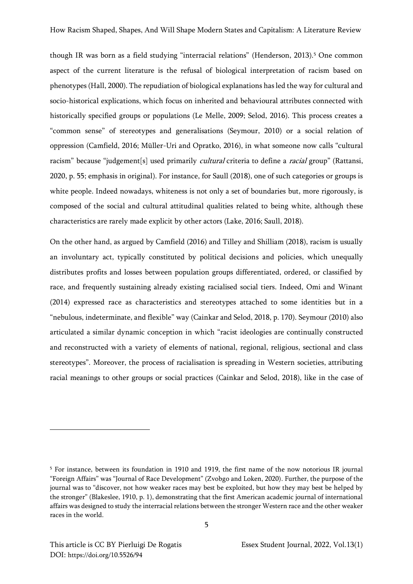though IR was born as a field studying "interracial relations" (Henderson, 2013). <sup>5</sup> One common aspect of the current literature is the refusal of biological interpretation of racism based on phenotypes (Hall, 2000). The repudiation of biological explanations has led the way for cultural and socio-historical explications, which focus on inherited and behavioural attributes connected with historically specified groups or populations (Le Melle, 2009; Selod, 2016). This process creates a "common sense" of stereotypes and generalisations (Seymour, 2010) or a social relation of oppression (Camfield, 2016; Müller-Uri and Opratko, 2016), in what someone now calls "cultural racism" because "judgement[s] used primarily *cultural* criteria to define a *racial* group" (Rattansi, 2020, p. 55; emphasis in original). For instance, for Saull (2018), one of such categories or groups is white people. Indeed nowadays, whiteness is not only a set of boundaries but, more rigorously, is composed of the social and cultural attitudinal qualities related to being white, although these characteristics are rarely made explicit by other actors (Lake, 2016; Saull, 2018).

On the other hand, as argued by Camfield (2016) and Tilley and Shilliam (2018), racism is usually an involuntary act, typically constituted by political decisions and policies, which unequally distributes profits and losses between population groups differentiated, ordered, or classified by race, and frequently sustaining already existing racialised social tiers. Indeed, Omi and Winant (2014) expressed race as characteristics and stereotypes attached to some identities but in a "nebulous, indeterminate, and flexible" way (Cainkar and Selod, 2018, p. 170). Seymour (2010) also articulated a similar dynamic conception in which "racist ideologies are continually constructed and reconstructed with a variety of elements of national, regional, religious, sectional and class stereotypes". Moreover, the process of racialisation is spreading in Western societies, attributing racial meanings to other groups or social practices (Cainkar and Selod, 2018), like in the case of

<sup>5</sup> For instance, between its foundation in 1910 and 1919, the first name of the now notorious IR journal "Foreign Affairs" was "Journal of Race Development" (Zvobgo and Loken, 2020). Further, the purpose of the journal was to "discover, not how weaker races may best be exploited, but how they may best be helped by the stronger" (Blakeslee, 1910, p. 1), demonstrating that the first American academic journal of international affairs was designed to study the interracial relations between the stronger Western race and the other weaker races in the world.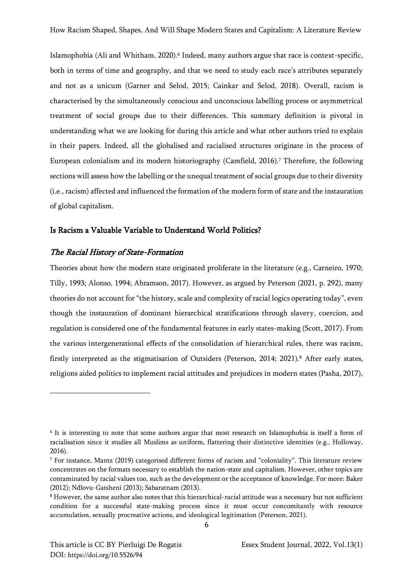Islamophobia (Ali and Whitham, 2020).<sup>6</sup> Indeed, many authors argue that race is context-specific, both in terms of time and geography, and that we need to study each race's attributes separately and not as a unicum (Garner and Selod, 2015; Cainkar and Selod, 2018). Overall, racism is characterised by the simultaneously conscious and unconscious labelling process or asymmetrical treatment of social groups due to their differences. This summary definition is pivotal in understanding what we are looking for during this article and what other authors tried to explain in their papers. Indeed, all the globalised and racialised structures originate in the process of European colonialism and its modern historiography (Camfield, 2016).<sup>7</sup> Therefore, the following sections will assess how the labelling or the unequal treatment of social groups due to their diversity (i.e., racism) affected and influenced the formation of the modern form of state and the instauration of global capitalism.

#### Is Racism a Valuable Variable to Understand World Politics?

#### The Racial History of State-Formation

Theories about how the modern state originated proliferate in the literature (e.g., Carneiro, 1970; Tilly, 1993; Alonso, 1994; Abramson, 2017). However, as argued by Peterson (2021, p. 292), many theories do not account for "the history, scale and complexity of racial logics operating today", even though the instauration of dominant hierarchical stratifications through slavery, coercion, and regulation is considered one of the fundamental features in early states-making (Scott, 2017). From the various intergenerational effects of the consolidation of hierarchical rules, there was racism, firstly interpreted as the stigmatisation of Outsiders (Peterson, 2014; 2021).<sup>8</sup> After early states, religions aided politics to implement racial attitudes and prejudices in modern states (Pasha, 2017),

<sup>6</sup> It is interesting to note that some authors argue that most research on Islamophobia is itself a form of racialisation since it studies all Muslims as uniform, flattering their distinctive identities (e.g., Holloway, 2016).

<sup>7</sup> For instance, Mantz (2019) categorised different forms of racism and "coloniality". This literature review concentrates on the formats necessary to establish the nation-state and capitalism. However, other topics are contaminated by racial values too, such as the development or the acceptance of knowledge. For more: Baker (2012); Ndlovu-Gatsheni (2013); Sabaratnam (2013).

<sup>8</sup> However, the same author also notes that this hierarchical-racial attitude was a necessary but not sufficient condition for a successful state-making process since it must occur concomitantly with resource accumulation, sexually procreative actions, and ideological legitimation (Peterson, 2021).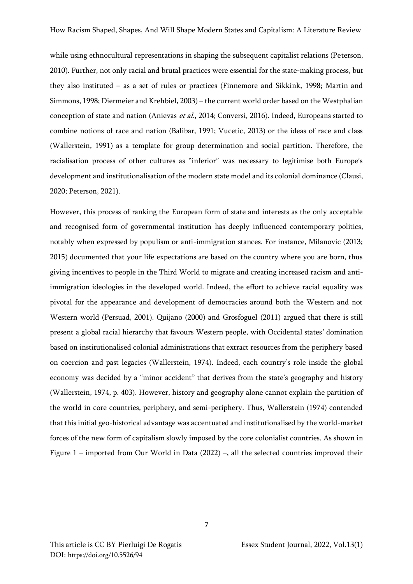while using ethnocultural representations in shaping the subsequent capitalist relations (Peterson, 2010). Further, not only racial and brutal practices were essential for the state-making process, but they also instituted – as a set of rules or practices (Finnemore and Sikkink, 1998; Martin and Simmons, 1998; Diermeier and Krehbiel, 2003) – the current world order based on the Westphalian conception of state and nation (Anievas et al., 2014; Conversi, 2016). Indeed, Europeans started to combine notions of race and nation (Balibar, 1991; Vucetic, 2013) or the ideas of race and class (Wallerstein, 1991) as a template for group determination and social partition. Therefore, the racialisation process of other cultures as "inferior" was necessary to legitimise both Europe's development and institutionalisation of the modern state model and its colonial dominance (Clausi, 2020; Peterson, 2021).

However, this process of ranking the European form of state and interests as the only acceptable and recognised form of governmental institution has deeply influenced contemporary politics, notably when expressed by populism or anti-immigration stances. For instance, Milanovic (2013; 2015) documented that your life expectations are based on the country where you are born, thus giving incentives to people in the Third World to migrate and creating increased racism and antiimmigration ideologies in the developed world. Indeed, the effort to achieve racial equality was pivotal for the appearance and development of democracies around both the Western and not Western world (Persuad, 2001). Quijano (2000) and Grosfoguel (2011) argued that there is still present a global racial hierarchy that favours Western people, with Occidental states' domination based on institutionalised colonial administrations that extract resources from the periphery based on coercion and past legacies (Wallerstein, 1974). Indeed, each country's role inside the global economy was decided by a "minor accident" that derives from the state's geography and history (Wallerstein, 1974, p. 403). However, history and geography alone cannot explain the partition of the world in core countries, periphery, and semi-periphery. Thus, Wallerstein (1974) contended that this initial geo-historical advantage was accentuated and institutionalised by the world-market forces of the new form of capitalism slowly imposed by the core colonialist countries. As shown in Figure 1 – imported from Our World in Data (2022) –, all the selected countries improved their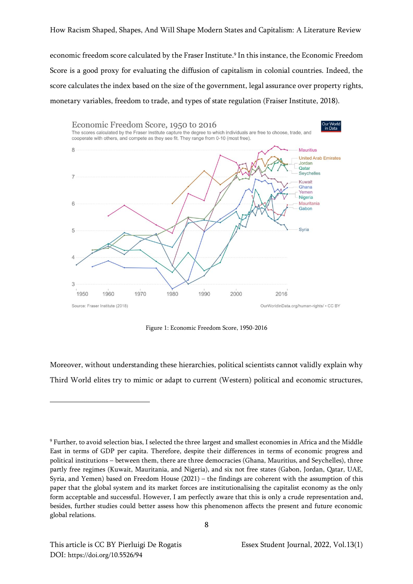How Racism Shaped, Shapes, And Will Shape Modern States and Capitalism: A Literature Review

economic freedom score calculated by the Fraser Institute. 9 In this instance, the Economic Freedom Score is a good proxy for evaluating the diffusion of capitalism in colonial countries. Indeed, the score calculates the index based on the size of the government, legal assurance over property rights, monetary variables, freedom to trade, and types of state regulation (Fraiser Institute, 2018).



Figure 1: Economic Freedom Score, 1950-2016

Moreover, without understanding these hierarchies, political scientists cannot validly explain why Third World elites try to mimic or adapt to current (Western) political and economic structures,

<sup>9</sup> Further, to avoid selection bias, I selected the three largest and smallest economies in Africa and the Middle East in terms of GDP per capita. Therefore, despite their differences in terms of economic progress and political institutions – between them, there are three democracies (Ghana, Mauritius, and Seychelles), three partly free regimes (Kuwait, Mauritania, and Nigeria), and six not free states (Gabon, Jordan, Qatar, UAE, Syria, and Yemen) based on Freedom House (2021) – the findings are coherent with the assumption of this paper that the global system and its market forces are institutionalising the capitalist economy as the only form acceptable and successful. However, I am perfectly aware that this is only a crude representation and, besides, further studies could better assess how this phenomenon affects the present and future economic global relations.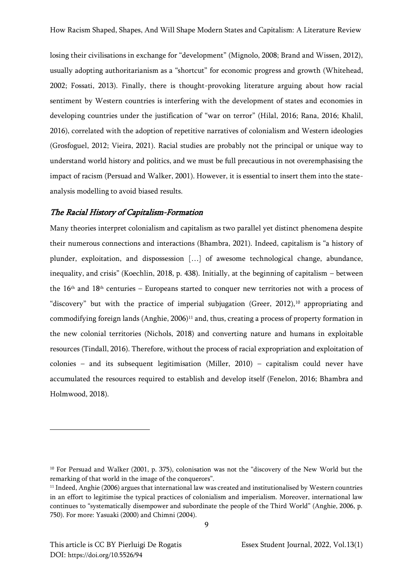losing their civilisations in exchange for "development" (Mignolo, 2008; Brand and Wissen, 2012), usually adopting authoritarianism as a "shortcut" for economic progress and growth (Whitehead, 2002; Fossati, 2013). Finally, there is thought-provoking literature arguing about how racial sentiment by Western countries is interfering with the development of states and economies in developing countries under the justification of "war on terror" (Hilal, 2016; Rana, 2016; Khalil, 2016), correlated with the adoption of repetitive narratives of colonialism and Western ideologies (Grosfoguel, 2012; Vieira, 2021). Racial studies are probably not the principal or unique way to understand world history and politics, and we must be full precautious in not overemphasising the impact of racism (Persuad and Walker, 2001). However, it is essential to insert them into the stateanalysis modelling to avoid biased results.

#### The Racial History of Capitalism-Formation

Many theories interpret colonialism and capitalism as two parallel yet distinct phenomena despite their numerous connections and interactions (Bhambra, 2021). Indeed, capitalism is "a history of plunder, exploitation, and dispossession […] of awesome technological change, abundance, inequality, and crisis" (Koechlin, 2018, p. 438). Initially, at the beginning of capitalism – between the 16th and 18th centuries – Europeans started to conquer new territories not with a process of "discovery" but with the practice of imperial subjugation (Greer, 2012),<sup>10</sup> appropriating and commodifying foreign lands  $(Anghie, 2006)^{11}$  and, thus, creating a process of property formation in the new colonial territories (Nichols, 2018) and converting nature and humans in exploitable resources (Tindall, 2016). Therefore, without the process of racial expropriation and exploitation of colonies – and its subsequent legitimisation (Miller, 2010) – capitalism could never have accumulated the resources required to establish and develop itself (Fenelon, 2016; Bhambra and Holmwood, 2018).

<sup>10</sup> For Persuad and Walker (2001, p. 375), colonisation was not the "discovery of the New World but the remarking of that world in the image of the conquerors".

<sup>11</sup> Indeed, Anghie (2006) argues that international law was created and institutionalised by Western countries in an effort to legitimise the typical practices of colonialism and imperialism. Moreover, international law continues to "systematically disempower and subordinate the people of the Third World" (Anghie, 2006, p. 750). For more: Yasuaki (2000) and Chimni (2004).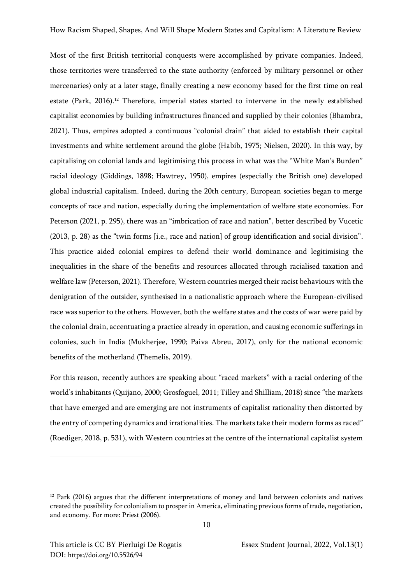Most of the first British territorial conquests were accomplished by private companies. Indeed, those territories were transferred to the state authority (enforced by military personnel or other mercenaries) only at a later stage, finally creating a new economy based for the first time on real estate (Park, 2016).<sup>12</sup> Therefore, imperial states started to intervene in the newly established capitalist economies by building infrastructures financed and supplied by their colonies (Bhambra, 2021). Thus, empires adopted a continuous "colonial drain" that aided to establish their capital investments and white settlement around the globe (Habib, 1975; Nielsen, 2020). In this way, by capitalising on colonial lands and legitimising this process in what was the "White Man's Burden" racial ideology (Giddings, 1898; Hawtrey, 1950), empires (especially the British one) developed global industrial capitalism. Indeed, during the 20th century, European societies began to merge concepts of race and nation, especially during the implementation of welfare state economies. For Peterson (2021, p. 295), there was an "imbrication of race and nation", better described by Vucetic (2013, p. 28) as the "twin forms [i.e., race and nation] of group identification and social division". This practice aided colonial empires to defend their world dominance and legitimising the inequalities in the share of the benefits and resources allocated through racialised taxation and welfare law (Peterson, 2021). Therefore, Western countries merged their racist behaviours with the denigration of the outsider, synthesised in a nationalistic approach where the European-civilised race was superior to the others. However, both the welfare states and the costs of war were paid by the colonial drain, accentuating a practice already in operation, and causing economic sufferings in colonies, such in India (Mukherjee, 1990; Paiva Abreu, 2017), only for the national economic benefits of the motherland (Themelis, 2019).

For this reason, recently authors are speaking about "raced markets" with a racial ordering of the world's inhabitants (Quijano, 2000; Grosfoguel, 2011; Tilley and Shilliam, 2018) since "the markets that have emerged and are emerging are not instruments of capitalist rationality then distorted by the entry of competing dynamics and irrationalities. The markets take their modern forms as raced" (Roediger, 2018, p. 531), with Western countries at the centre of the international capitalist system

10

<sup>&</sup>lt;sup>12</sup> Park (2016) argues that the different interpretations of money and land between colonists and natives created the possibility for colonialism to prosper in America, eliminating previous forms of trade, negotiation, and economy. For more: Priest (2006).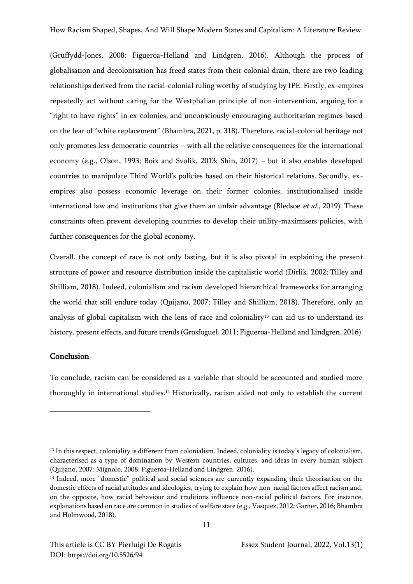(Gruffydd-Jones, 2008; Figueroa-Helland and Lindgren, 2016). Although the process of globalisation and decolonisation has freed states from their colonial drain, there are two leading relationships derived from the racial-colonial ruling worthy of studying by IPE. Firstly, ex-empires repeatedly act without caring for the Westphalian principle of non-intervention, arguing for a "right to have rights" in ex-colonies, and unconsciously encouraging authoritarian regimes based on the fear of "white replacement" (Bhambra, 2021, p. 318). Therefore, racial-colonial heritage not only promotes less democratic countries – with all the relative consequences for the international economy (e.g., Olson, 1993; Boix and Svolik, 2013; Shin, 2017) – but it also enables developed countries to manipulate Third World's policies based on their historical relations. Secondly, exempires also possess economic leverage on their former colonies, institutionalised inside international law and institutions that give them an unfair advantage (Bledsoe *et al.*, 2019). These constraints often prevent developing countries to develop their utility-maximisers policies, with further consequences for the global economy.

Overall, the concept of race is not only lasting, but it is also pivotal in explaining the present structure of power and resource distribution inside the capitalistic world (Dirlik, 2002; Tilley and Shilliam, 2018). Indeed, colonialism and racism developed hierarchical frameworks for arranging the world that still endure today (Quijano, 2007; Tilley and Shilliam, 2018). Therefore, only an analysis of global capitalism with the lens of race and coloniality<sup>13</sup> can aid us to understand its history, present effects, and future trends (Grosfoguel, 2011; Figueroa-Helland and Lindgren, 2016).

## Conclusion

To conclude, racism can be considered as a variable that should be accounted and studied more thoroughly in international studies.<sup>14</sup> Historically, racism aided not only to establish the current

<sup>&</sup>lt;sup>13</sup> In this respect, coloniality is different from colonialism. Indeed, coloniality is today's legacy of colonialism, characterised as a type of domination by Western countries, cultures, and ideas in every human subject (Quijano, 2007; Mignolo, 2008; Figueroa-Helland and Lindgren, 2016).

<sup>&</sup>lt;sup>14</sup> Indeed, more "domestic" political and social sciences are currently expanding their theorisation on the domestic effects of racial attitudes and ideologies, trying to explain how non-racial factors affect racism and, on the opposite, how racial behaviour and traditions influence non-racial political factors. For instance, explanations based on race are common in studies of welfare state (e.g., Vasquez, 2012; Garner, 2016; Bhambra and Holmwood, 2018).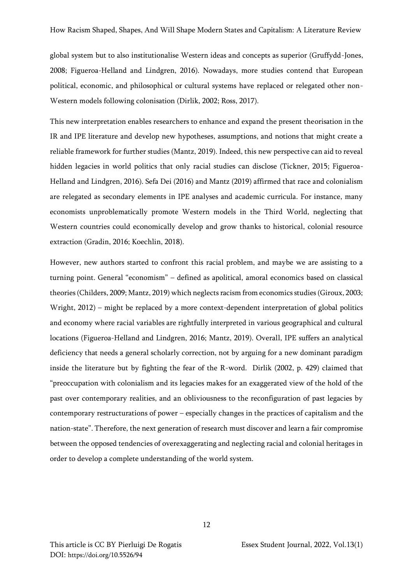global system but to also institutionalise Western ideas and concepts as superior (Gruffydd-Jones, 2008; Figueroa-Helland and Lindgren, 2016). Nowadays, more studies contend that European political, economic, and philosophical or cultural systems have replaced or relegated other non-Western models following colonisation (Dirlik, 2002; Ross, 2017).

This new interpretation enables researchers to enhance and expand the present theorisation in the IR and IPE literature and develop new hypotheses, assumptions, and notions that might create a reliable framework for further studies (Mantz, 2019). Indeed, this new perspective can aid to reveal hidden legacies in world politics that only racial studies can disclose (Tickner, 2015; Figueroa-Helland and Lindgren, 2016). Sefa Dei (2016) and Mantz (2019) affirmed that race and colonialism are relegated as secondary elements in IPE analyses and academic curricula. For instance, many economists unproblematically promote Western models in the Third World, neglecting that Western countries could economically develop and grow thanks to historical, colonial resource extraction (Gradin, 2016; Koechlin, 2018).

However, new authors started to confront this racial problem, and maybe we are assisting to a turning point. General "economism" – defined as apolitical, amoral economics based on classical theories (Childers, 2009; Mantz, 2019) which neglects racism from economics studies (Giroux, 2003; Wright, 2012) – might be replaced by a more context-dependent interpretation of global politics and economy where racial variables are rightfully interpreted in various geographical and cultural locations (Figueroa-Helland and Lindgren, 2016; Mantz, 2019). Overall, IPE suffers an analytical deficiency that needs a general scholarly correction, not by arguing for a new dominant paradigm inside the literature but by fighting the fear of the R-word. Dirlik (2002, p. 429) claimed that "preoccupation with colonialism and its legacies makes for an exaggerated view of the hold of the past over contemporary realities, and an obliviousness to the reconfiguration of past legacies by contemporary restructurations of power – especially changes in the practices of capitalism and the nation-state". Therefore, the next generation of research must discover and learn a fair compromise between the opposed tendencies of overexaggerating and neglecting racial and colonial heritages in order to develop a complete understanding of the world system.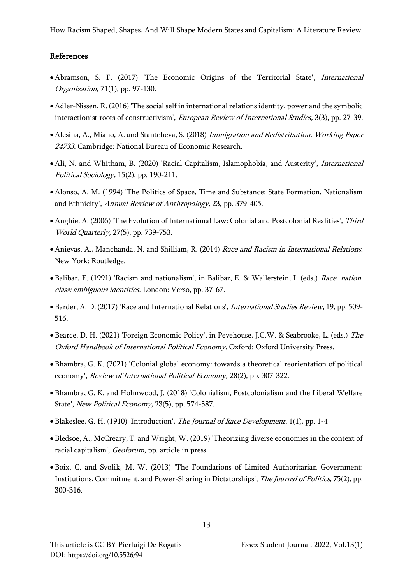How Racism Shaped, Shapes, And Will Shape Modern States and Capitalism: A Literature Review

## References

- Abramson, S. F. (2017) 'The Economic Origins of the Territorial State', International Organization, 71(1), pp. 97-130.
- Adler-Nissen, R. (2016) 'The social self in international relations identity, power and the symbolic interactionist roots of constructivism', European Review of International Studies, 3(3), pp. 27-39.
- Alesina, A., Miano, A. and Stantcheva, S. (2018) Immigration and Redistribution. Working Paper 24733. Cambridge: National Bureau of Economic Research.
- Ali, N. and Whitham, B. (2020) 'Racial Capitalism, Islamophobia, and Austerity', International Political Sociology, 15(2), pp. 190-211.
- Alonso, A. M. (1994) 'The Politics of Space, Time and Substance: State Formation, Nationalism and Ethnicity', Annual Review of Anthropology, 23, pp. 379-405.
- Anghie, A. (2006) 'The Evolution of International Law: Colonial and Postcolonial Realities', Third World Quarterly, 27(5), pp. 739-753.
- Anievas, A., Manchanda, N. and Shilliam, R. (2014) Race and Racism in International Relations. New York: Routledge.
- Balibar, E. (1991) 'Racism and nationalism', in Balibar, E. & Wallerstein, I. (eds.) Race, nation, class: ambiguous identities. London: Verso, pp. 37-67.
- Barder, A. D. (2017) 'Race and International Relations', International Studies Review, 19, pp. 509- 516.
- Bearce, D. H. (2021) 'Foreign Economic Policy', in Pevehouse, J.C.W. & Seabrooke, L. (eds.) The Oxford Handbook of International Political Economy. Oxford: Oxford University Press.
- Bhambra, G. K. (2021) 'Colonial global economy: towards a theoretical reorientation of political economy', Review of International Political Economy, 28(2), pp. 307-322.
- Bhambra, G. K. and Holmwood, J. (2018) 'Colonialism, Postcolonialism and the Liberal Welfare State', New Political Economy, 23(5), pp. 574-587.
- Blakeslee, G. H. (1910) 'Introduction', The Journal of Race Development, 1(1), pp. 1-4
- Bledsoe, A., McCreary, T. and Wright, W. (2019) 'Theorizing diverse economies in the context of racial capitalism', Geoforum, pp. article in press.
- Boix, C. and Svolik, M. W. (2013) 'The Foundations of Limited Authoritarian Government: Institutions, Commitment, and Power-Sharing in Dictatorships', The Journal of Politics, 75(2), pp. 300-316.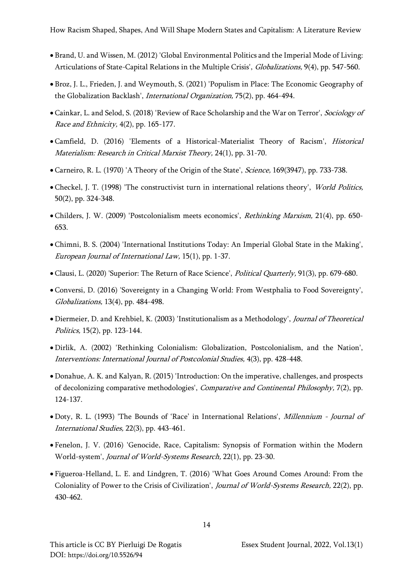- Brand, U. and Wissen, M. (2012) 'Global Environmental Politics and the Imperial Mode of Living: Articulations of State-Capital Relations in the Multiple Crisis', Globalizations, 9(4), pp. 547-560.
- Broz, J. L., Frieden, J. and Weymouth, S. (2021) 'Populism in Place: The Economic Geography of the Globalization Backlash', International Organization, 75(2), pp. 464-494.
- Cainkar, L. and Selod, S. (2018) 'Review of Race Scholarship and the War on Terror', Sociology of Race and Ethnicity, 4(2), pp. 165-177.
- Camfield, D. (2016) 'Elements of a Historical-Materialist Theory of Racism', Historical Materialism: Research in Critical Marxist Theory, 24(1), pp. 31-70.
- Carneiro, R. L. (1970) 'A Theory of the Origin of the State', Science, 169(3947), pp. 733-738.
- Checkel, J. T. (1998) 'The constructivist turn in international relations theory', *World Politics*, 50(2), pp. 324-348.
- Childers, J. W. (2009) 'Postcolonialism meets economics', Rethinking Marxism, 21(4), pp. 650- 653.
- Chimni, B. S. (2004) 'International Institutions Today: An Imperial Global State in the Making', European Journal of International Law, 15(1), pp. 1-37.
- Clausi, L. (2020) 'Superior: The Return of Race Science', Political Quarterly, 91(3), pp. 679-680.
- Conversi, D. (2016) 'Sovereignty in a Changing World: From Westphalia to Food Sovereignty', Globalizations, 13(4), pp. 484-498.
- Diermeier, D. and Krehbiel, K. (2003) 'Institutionalism as a Methodology', Journal of Theoretical Politics, 15(2), pp. 123-144.
- Dirlik, A. (2002) 'Rethinking Colonialism: Globalization, Postcolonialism, and the Nation', Interventions: International Journal of Postcolonial Studies, 4(3), pp. 428-448.
- Donahue, A. K. and Kalyan, R. (2015) 'Introduction: On the imperative, challenges, and prospects of decolonizing comparative methodologies', Comparative and Continental Philosophy, 7(2), pp. 124-137.
- Doty, R. L. (1993) 'The Bounds of 'Race' in International Relations', Millennium Journal of International Studies, 22(3), pp. 443-461.
- Fenelon, J. V. (2016) 'Genocide, Race, Capitalism: Synopsis of Formation within the Modern World-system', Journal of World-Systems Research, 22(1), pp. 23-30.
- Figueroa-Helland, L. E. and Lindgren, T. (2016) 'What Goes Around Comes Around: From the Coloniality of Power to the Crisis of Civilization', Journal of World-Systems Research, 22(2), pp. 430-462.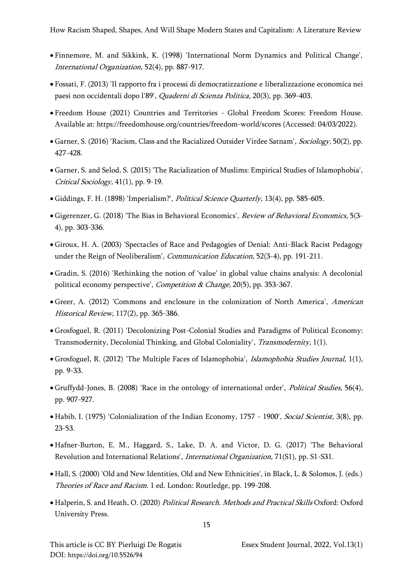- Finnemore, M. and Sikkink, K. (1998) 'International Norm Dynamics and Political Change', International Organization, 52(4), pp. 887-917.
- Fossati, F. (2013) 'Il rapporto fra i processi di democratizzazione e liberalizzazione economica nei paesi non occidentali dopo l'89', Quaderni di Scienza Politica, 20(3), pp. 369-403.
- Freedom House (2021) Countries and Territories Global Freedom Scores: Freedom House. Available at: https://freedomhouse.org/countries/freedom-world/scores (Accessed: 04/03/2022).
- Garner, S. (2016) 'Racism, Class and the Racialized Outsider Virdee Satnam', *Sociology*, 50(2), pp. 427-428.
- Garner, S. and Selod, S. (2015) 'The Racialization of Muslims: Empirical Studies of Islamophobia', Critical Sociology, 41(1), pp. 9-19.
- Giddings, F. H. (1898) 'Imperialism?', Political Science Quarterly, 13(4), pp. 585-605.
- Gigerenzer, G. (2018) 'The Bias in Behavioral Economics', Review of Behavioral Economics, 5(3- 4), pp. 303-336.
- Giroux, H. A. (2003) 'Spectacles of Race and Pedagogies of Denial: Anti-Black Racist Pedagogy under the Reign of Neoliberalism', Communication Education, 52(3-4), pp. 191-211.
- Gradin, S. (2016) 'Rethinking the notion of 'value' in global value chains analysis: A decolonial political economy perspective', *Competition & Change*, 20(5), pp. 353-367.
- Greer, A. (2012) 'Commons and enclosure in the colonization of North America', American Historical Review, 117(2), pp. 365-386.
- Grosfoguel, R. (2011) 'Decolonizing Post-Colonial Studies and Paradigms of Political Economy: Transmodernity, Decolonial Thinking, and Global Coloniality', Transmodernity, 1(1).
- Grosfoguel, R. (2012) 'The Multiple Faces of Islamophobia', Islamophobia Studies Journal, 1(1), pp. 9-33.
- Gruffydd-Jones, B. (2008) 'Race in the ontology of international order', Political Studies, 56(4), pp. 907-927.
- Habib, I. (1975) 'Colonialization of the Indian Economy, 1757 1900', Social Scientist, 3(8), pp. 23-53.
- Hafner-Burton, E. M., Haggard, S., Lake, D. A. and Victor, D. G. (2017) 'The Behavioral Revolution and International Relations', International Organization, 71(S1), pp. S1-S31.
- Hall, S. (2000) 'Old and New Identities, Old and New Ethnicities', in Black, L. & Solomos, J. (eds.) Theories of Race and Racism. 1 ed. London: Routledge, pp. 199-208.
- Halperin, S. and Heath, O. (2020) Political Research. Methods and Practical Skills Oxford: Oxford University Press.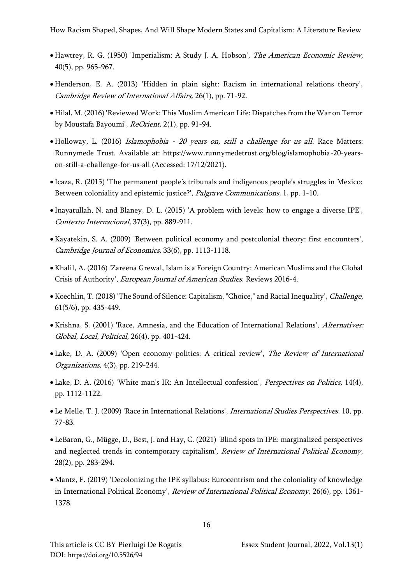- Hawtrey, R. G. (1950) 'Imperialism: A Study J. A. Hobson', The American Economic Review, 40(5), pp. 965-967.
- Henderson, E. A. (2013) 'Hidden in plain sight: Racism in international relations theory', Cambridge Review of International Affairs, 26(1), pp. 71-92.
- Hilal, M. (2016) 'Reviewed Work: This Muslim American Life: Dispatches from the War on Terror by Moustafa Bayoumi', ReOrient, 2(1), pp. 91-94.
- Holloway, L. (2016) *Islamophobia 20 years on, still a challenge for us all.* Race Matters: Runnymede Trust. Available at: https://www.runnymedetrust.org/blog/islamophobia-20-yearson-still-a-challenge-for-us-all (Accessed: 17/12/2021).
- Icaza, R. (2015) 'The permanent people's tribunals and indigenous people's struggles in Mexico: Between coloniality and epistemic justice?', Palgrave Communications, 1, pp. 1-10.
- Inayatullah, N. and Blaney, D. L. (2015) 'A problem with levels: how to engage a diverse IPE', Contexto Internacional, 37(3), pp. 889-911.
- Kayatekin, S. A. (2009) 'Between political economy and postcolonial theory: first encounters', Cambridge Journal of Economics, 33(6), pp. 1113-1118.
- Khalil, A. (2016) 'Zareena Grewal, Islam is a Foreign Country: American Muslims and the Global Crisis of Authority', European Journal of American Studies, Reviews 2016-4.
- Koechlin, T. (2018) 'The Sound of Silence: Capitalism, "Choice," and Racial Inequality', Challenge, 61(5/6), pp. 435-449.
- Krishna, S. (2001) 'Race, Amnesia, and the Education of International Relations', Alternatives: Global, Local, Political, 26(4), pp. 401-424.
- Lake, D. A. (2009) 'Open economy politics: A critical review', The Review of International Organizations, 4(3), pp. 219-244.
- Lake, D. A. (2016) 'White man's IR: An Intellectual confession', Perspectives on Politics, 14(4), pp. 1112-1122.
- Le Melle, T. J. (2009) 'Race in International Relations', International Studies Perspectives, 10, pp. 77-83.
- LeBaron, G., Mügge, D., Best, J. and Hay, C. (2021) 'Blind spots in IPE: marginalized perspectives and neglected trends in contemporary capitalism', Review of International Political Economy, 28(2), pp. 283-294.
- Mantz, F. (2019) 'Decolonizing the IPE syllabus: Eurocentrism and the coloniality of knowledge in International Political Economy', Review of International Political Economy, 26(6), pp. 1361-1378.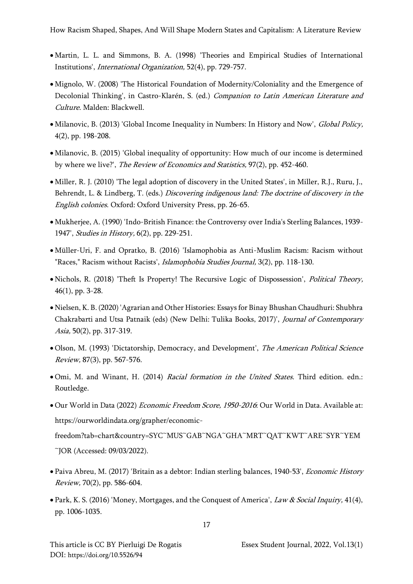- Martin, L. L. and Simmons, B. A. (1998) 'Theories and Empirical Studies of International Institutions', International Organization, 52(4), pp. 729-757.
- Mignolo, W. (2008) 'The Historical Foundation of Modernity/Coloniality and the Emergence of Decolonial Thinking', in Castro-Klarén, S. (ed.) Companion to Latin American Literature and Culture. Malden: Blackwell.
- Milanovic, B. (2013) 'Global Income Inequality in Numbers: In History and Now', *Global Policy*, 4(2), pp. 198-208.
- Milanovic, B. (2015) 'Global inequality of opportunity: How much of our income is determined by where we live?', The Review of Economics and Statistics, 97(2), pp. 452-460.
- Miller, R. J. (2010) 'The legal adoption of discovery in the United States', in Miller, R.J., Ruru, J., Behrendt, L. & Lindberg, T. (eds.) Discovering indigenous land: The doctrine of discovery in the English colonies. Oxford: Oxford University Press, pp. 26-65.
- Mukherjee, A. (1990) 'Indo-British Finance: the Controversy over India's Sterling Balances, 1939- 1947', Studies in History, 6(2), pp. 229-251.
- Müller-Uri, F. and Opratko, B. (2016) 'Islamophobia as Anti-Muslim Racism: Racism without "Races," Racism without Racists', *Islamophobia Studies Journal*, 3(2), pp. 118-130.
- Nichols, R. (2018) 'Theft Is Property! The Recursive Logic of Dispossession', Political Theory, 46(1), pp. 3-28.
- Nielsen, K. B. (2020) 'Agrarian and Other Histories: Essays for Binay Bhushan Chaudhuri: Shubhra Chakrabarti and Utsa Patnaik (eds) (New Delhi: Tulika Books, 2017)', Journal of Contemporary Asia, 50(2), pp. 317-319.
- Olson, M. (1993) 'Dictatorship, Democracy, and Development', *The American Political Science* Review, 87(3), pp. 567-576.
- Omi, M. and Winant, H. (2014) Racial formation in the United States. Third edition. edn.: Routledge.
- Our World in Data (2022) Economic Freedom Score, 1950-2016: Our World in Data. Available at: https://ourworldindata.org/grapher/economic-

freedom?tab=chart&country=SYC~MUS~GAB~NGA~GHA~MRT~QAT~KWT~ARE~SYR~YEM ~JOR (Accessed: 09/03/2022).

- Paiva Abreu, M. (2017) 'Britain as a debtor: Indian sterling balances, 1940-53', Economic History Review, 70(2), pp. 586-604.
- Park, K. S. (2016) 'Money, Mortgages, and the Conquest of America', *Law & Social Inquiry*, 41(4), pp. 1006-1035.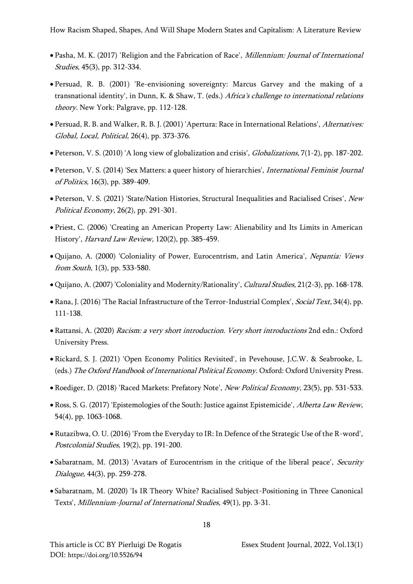- Pasha, M. K. (2017) 'Religion and the Fabrication of Race', Millennium: Journal of International Studies, 45(3), pp. 312-334.
- Persuad, R. B. (2001) 'Re-envisioning sovereignty: Marcus Garvey and the making of a transnational identity', in Dunn, K. & Shaw, T. (eds.) Africa's challenge to international relations theory. New York: Palgrave, pp. 112-128.
- Persuad, R. B. and Walker, R. B. J. (2001) 'Apertura: Race in International Relations', Alternatives: Global, Local, Political, 26(4), pp. 373-376.
- Peterson, V. S. (2010) 'A long view of globalization and crisis', Globalizations, 7(1-2), pp. 187-202.
- Peterson, V. S. (2014) 'Sex Matters: a queer history of hierarchies', International Feminist Journal of Politics, 16(3), pp. 389-409.
- Peterson, V. S. (2021) 'State/Nation Histories, Structural Inequalities and Racialised Crises', New Political Economy, 26(2), pp. 291-301.
- Priest, C. (2006) 'Creating an American Property Law: Alienability and Its Limits in American History', Harvard Law Review, 120(2), pp. 385-459.
- Quijano, A. (2000) 'Coloniality of Power, Eurocentrism, and Latin America', Nepantia: Views from South, 1(3), pp. 533-580.
- Quijano, A. (2007) 'Coloniality and Modernity/Rationality', Cultural Studies, 21(2-3), pp. 168-178.
- Rana, J. (2016) 'The Racial Infrastructure of the Terror-Industrial Complex', *Social Text*, 34(4), pp. 111-138.
- Rattansi, A. (2020) Racism: a very short introduction. Very short introductions 2nd edn.: Oxford University Press.
- Rickard, S. J. (2021) 'Open Economy Politics Revisited', in Pevehouse, J.C.W. & Seabrooke, L. (eds.) The Oxford Handbook of International Political Economy. Oxford: Oxford University Press.
- Roediger, D. (2018) 'Raced Markets: Prefatory Note', New Political Economy, 23(5), pp. 531-533.
- Ross, S. G. (2017) 'Epistemologies of the South: Justice against Epistemicide', *Alberta Law Review*, 54(4), pp. 1063-1068.
- Rutazibwa, O. U. (2016) 'From the Everyday to IR: In Defence of the Strategic Use of the R-word', Postcolonial Studies, 19(2), pp. 191-200.
- Sabaratnam, M. (2013) 'Avatars of Eurocentrism in the critique of the liberal peace', Security Dialogue, 44(3), pp. 259-278.
- Sabaratnam, M. (2020) 'Is IR Theory White? Racialised Subject-Positioning in Three Canonical Texts', Millennium-Journal of International Studies, 49(1), pp. 3-31.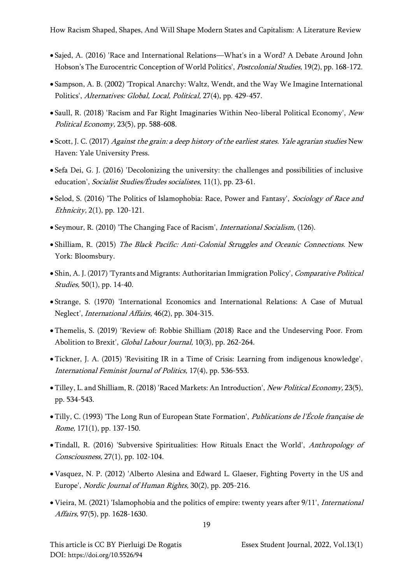- Sajed, A. (2016) 'Race and International Relations—What's in a Word? A Debate Around John Hobson's The Eurocentric Conception of World Politics', Postcolonial Studies, 19(2), pp. 168-172.
- Sampson, A. B. (2002) 'Tropical Anarchy: Waltz, Wendt, and the Way We Imagine International Politics', Alternatives: Global, Local, Political, 27(4), pp. 429-457.
- Saull, R. (2018) 'Racism and Far Right Imaginaries Within Neo-liberal Political Economy', New Political Economy, 23(5), pp. 588-608.
- Scott, J. C. (2017) Against the grain: a deep history of the earliest states. Yale agrarian studies New Haven: Yale University Press.
- Sefa Dei, G. J. (2016) 'Decolonizing the university: the challenges and possibilities of inclusive education', Socialist Studies/Études socialistes, 11(1), pp. 23-61.
- Selod, S. (2016) 'The Politics of Islamophobia: Race, Power and Fantasy', Sociology of Race and Ethnicity, 2(1), pp. 120-121.
- Seymour, R. (2010) 'The Changing Face of Racism', International Socialism, (126).
- Shilliam, R. (2015) The Black Pacific: Anti-Colonial Struggles and Oceanic Connections. New York: Bloomsbury.
- Shin, A. J. (2017) 'Tyrants and Migrants: Authoritarian Immigration Policy', Comparative Political Studies, 50(1), pp. 14-40.
- Strange, S. (1970) 'International Economics and International Relations: A Case of Mutual Neglect', International Affairs, 46(2), pp. 304-315.
- Themelis, S. (2019) 'Review of: Robbie Shilliam (2018) Race and the Undeserving Poor. From Abolition to Brexit', Global Labour Journal, 10(3), pp. 262-264.
- Tickner, J. A. (2015) 'Revisiting IR in a Time of Crisis: Learning from indigenous knowledge', International Feminist Journal of Politics, 17(4), pp. 536-553.
- Tilley, L. and Shilliam, R. (2018) 'Raced Markets: An Introduction', New Political Economy, 23(5), pp. 534-543.
- Tilly, C. (1993) 'The Long Run of European State Formation', Publications de l'École française de Rome, 171(1), pp. 137-150.
- Tindall, R. (2016) 'Subversive Spiritualities: How Rituals Enact the World', Anthropology of Consciousness, 27(1), pp. 102-104.
- Vasquez, N. P. (2012) 'Alberto Alesina and Edward L. Glaeser, Fighting Poverty in the US and Europe', Nordic Journal of Human Rights, 30(2), pp. 205-216.
- Vieira, M. (2021) 'Islamophobia and the politics of empire: twenty years after 9/11', International Affairs, 97(5), pp. 1628-1630.